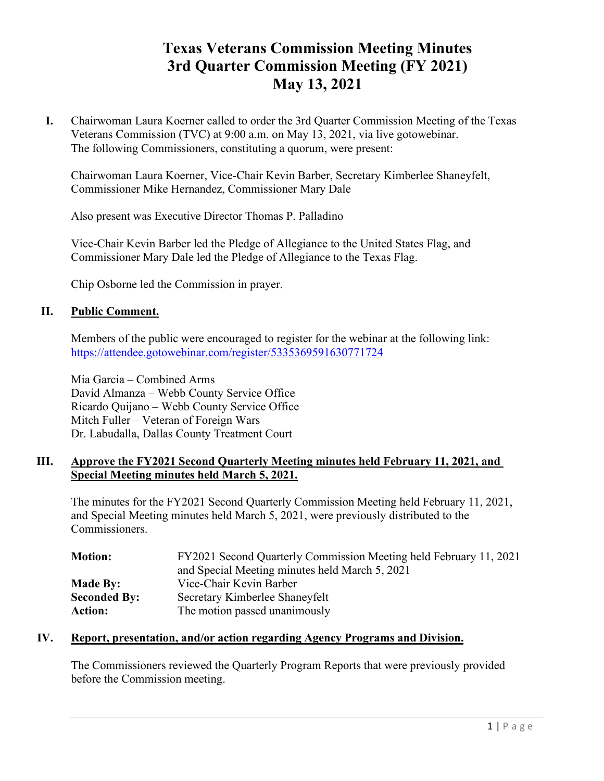# **Texas Veterans Commission Meeting Minutes 3rd Quarter Commission Meeting (FY 2021) May 13, 2021**

**I.** Chairwoman Laura Koerner called to order the 3rd Quarter Commission Meeting of the Texas Veterans Commission (TVC) at 9:00 a.m. on May 13, 2021, via live gotowebinar. The following Commissioners, constituting a quorum, were present:

Chairwoman Laura Koerner, Vice-Chair Kevin Barber, Secretary Kimberlee Shaneyfelt, Commissioner Mike Hernandez, Commissioner Mary Dale

Also present was Executive Director Thomas P. Palladino

Vice-Chair Kevin Barber led the Pledge of Allegiance to the United States Flag, and Commissioner Mary Dale led the Pledge of Allegiance to the Texas Flag.

Chip Osborne led the Commission in prayer.

### **II. Public Comment.**

Members of the public were encouraged to register for the webinar at the following link: <https://attendee.gotowebinar.com/register/5335369591630771724>

Mia Garcia – Combined Arms David Almanza – Webb County Service Office Ricardo Quijano – Webb County Service Office Mitch Fuller – Veteran of Foreign Wars Dr. Labudalla, Dallas County Treatment Court

### **III. Approve the FY2021 Second Quarterly Meeting minutes held February 11, 2021, and Special Meeting minutes held March 5, 2021.**

The minutes for the FY2021 Second Quarterly Commission Meeting held February 11, 2021, and Special Meeting minutes held March 5, 2021, were previously distributed to the Commissioners.

| <b>Motion:</b>      | FY2021 Second Quarterly Commission Meeting held February 11, 2021 |  |  |
|---------------------|-------------------------------------------------------------------|--|--|
|                     | and Special Meeting minutes held March 5, 2021                    |  |  |
| <b>Made By:</b>     | Vice-Chair Kevin Barber                                           |  |  |
| <b>Seconded By:</b> | Secretary Kimberlee Shaneyfelt                                    |  |  |
| <b>Action:</b>      | The motion passed unanimously                                     |  |  |

### **IV. Report, presentation, and/or action regarding Agency Programs and Division.**

The Commissioners reviewed the Quarterly Program Reports that were previously provided before the Commission meeting.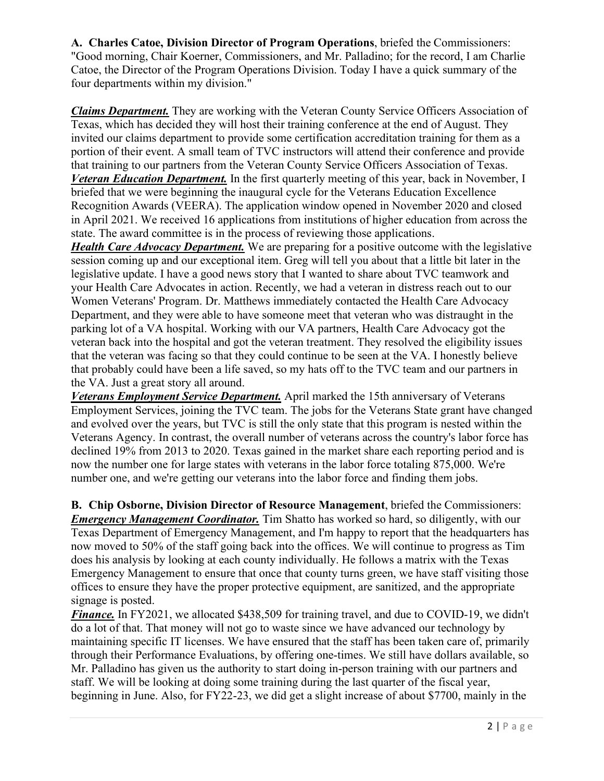**A. Charles Catoe, Division Director of Program Operations**, briefed the Commissioners: "Good morning, Chair Koerner, Commissioners, and Mr. Palladino; for the record, I am Charlie Catoe, the Director of the Program Operations Division. Today I have a quick summary of the four departments within my division."

*Claims Department.* They are working with the Veteran County Service Officers Association of Texas, which has decided they will host their training conference at the end of August. They invited our claims department to provide some certification accreditation training for them as a portion of their event. A small team of TVC instructors will attend their conference and provide that training to our partners from the Veteran County Service Officers Association of Texas. *Veteran Education Department.* In the first quarterly meeting of this year, back in November, I briefed that we were beginning the inaugural cycle for the Veterans Education Excellence Recognition Awards (VEERA). The application window opened in November 2020 and closed in April 2021. We received 16 applications from institutions of higher education from across the state. The award committee is in the process of reviewing those applications.

*Health Care Advocacy Department.* We are preparing for a positive outcome with the legislative session coming up and our exceptional item. Greg will tell you about that a little bit later in the legislative update. I have a good news story that I wanted to share about TVC teamwork and your Health Care Advocates in action. Recently, we had a veteran in distress reach out to our Women Veterans' Program. Dr. Matthews immediately contacted the Health Care Advocacy Department, and they were able to have someone meet that veteran who was distraught in the parking lot of a VA hospital. Working with our VA partners, Health Care Advocacy got the veteran back into the hospital and got the veteran treatment. They resolved the eligibility issues that the veteran was facing so that they could continue to be seen at the VA. I honestly believe that probably could have been a life saved, so my hats off to the TVC team and our partners in the VA. Just a great story all around.

*Veterans Employment Service Department.* April marked the 15th anniversary of Veterans Employment Services, joining the TVC team. The jobs for the Veterans State grant have changed and evolved over the years, but TVC is still the only state that this program is nested within the Veterans Agency. In contrast, the overall number of veterans across the country's labor force has declined 19% from 2013 to 2020. Texas gained in the market share each reporting period and is now the number one for large states with veterans in the labor force totaling 875,000. We're number one, and we're getting our veterans into the labor force and finding them jobs.

**B. Chip Osborne, Division Director of Resource Management**, briefed the Commissioners: *Emergency Management Coordinator.* Tim Shatto has worked so hard, so diligently, with our Texas Department of Emergency Management, and I'm happy to report that the headquarters has now moved to 50% of the staff going back into the offices. We will continue to progress as Tim does his analysis by looking at each county individually. He follows a matrix with the Texas Emergency Management to ensure that once that county turns green, we have staff visiting those offices to ensure they have the proper protective equipment, are sanitized, and the appropriate signage is posted.

*Finance.* In FY2021, we allocated \$438,509 for training travel, and due to COVID-19, we didn't do a lot of that. That money will not go to waste since we have advanced our technology by maintaining specific IT licenses. We have ensured that the staff has been taken care of, primarily through their Performance Evaluations, by offering one-times. We still have dollars available, so Mr. Palladino has given us the authority to start doing in-person training with our partners and staff. We will be looking at doing some training during the last quarter of the fiscal year, beginning in June. Also, for FY22-23, we did get a slight increase of about \$7700, mainly in the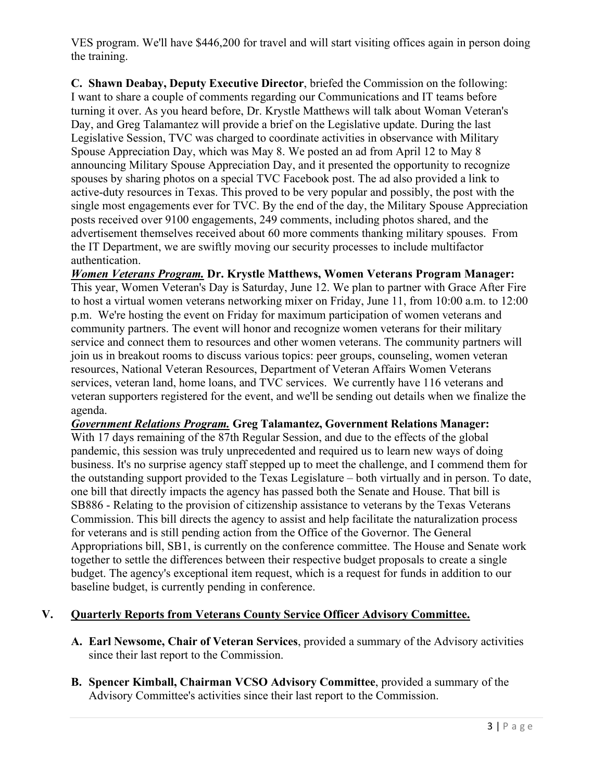VES program. We'll have \$446,200 for travel and will start visiting offices again in person doing the training.

**C. Shawn Deabay, Deputy Executive Director**, briefed the Commission on the following: I want to share a couple of comments regarding our Communications and IT teams before turning it over. As you heard before, Dr. Krystle Matthews will talk about Woman Veteran's Day, and Greg Talamantez will provide a brief on the Legislative update. During the last Legislative Session, TVC was charged to coordinate activities in observance with Military Spouse Appreciation Day, which was May 8. We posted an ad from April 12 to May 8 announcing Military Spouse Appreciation Day, and it presented the opportunity to recognize spouses by sharing photos on a special TVC Facebook post. The ad also provided a link to active-duty resources in Texas. This proved to be very popular and possibly, the post with the single most engagements ever for TVC. By the end of the day, the Military Spouse Appreciation posts received over 9100 engagements, 249 comments, including photos shared, and the advertisement themselves received about 60 more comments thanking military spouses. From the IT Department, we are swiftly moving our security processes to include multifactor authentication.

*Women Veterans Program.* **Dr. Krystle Matthews, Women Veterans Program Manager:** This year, Women Veteran's Day is Saturday, June 12. We plan to partner with Grace After Fire to host a virtual women veterans networking mixer on Friday, June 11, from 10:00 a.m. to 12:00 p.m. We're hosting the event on Friday for maximum participation of women veterans and community partners. The event will honor and recognize women veterans for their military service and connect them to resources and other women veterans. The community partners will join us in breakout rooms to discuss various topics: peer groups, counseling, women veteran resources, National Veteran Resources, Department of Veteran Affairs Women Veterans services, veteran land, home loans, and TVC services. We currently have 116 veterans and veteran supporters registered for the event, and we'll be sending out details when we finalize the agenda.

*Government Relations Program.* **Greg Talamantez, Government Relations Manager:** With 17 days remaining of the 87th Regular Session, and due to the effects of the global pandemic, this session was truly unprecedented and required us to learn new ways of doing business. It's no surprise agency staff stepped up to meet the challenge, and I commend them for the outstanding support provided to the Texas Legislature – both virtually and in person. To date, one bill that directly impacts the agency has passed both the Senate and House. That bill is SB886 - Relating to the provision of citizenship assistance to veterans by the Texas Veterans Commission. This bill directs the agency to assist and help facilitate the naturalization process for veterans and is still pending action from the Office of the Governor. The General Appropriations bill, SB1, is currently on the conference committee. The House and Senate work together to settle the differences between their respective budget proposals to create a single budget. The agency's exceptional item request, which is a request for funds in addition to our baseline budget, is currently pending in conference.

# **V. Quarterly Reports from Veterans County Service Officer Advisory Committee.**

- **A. Earl Newsome, Chair of Veteran Services**, provided a summary of the Advisory activities since their last report to the Commission.
- **B. Spencer Kimball, Chairman VCSO Advisory Committee**, provided a summary of the Advisory Committee's activities since their last report to the Commission.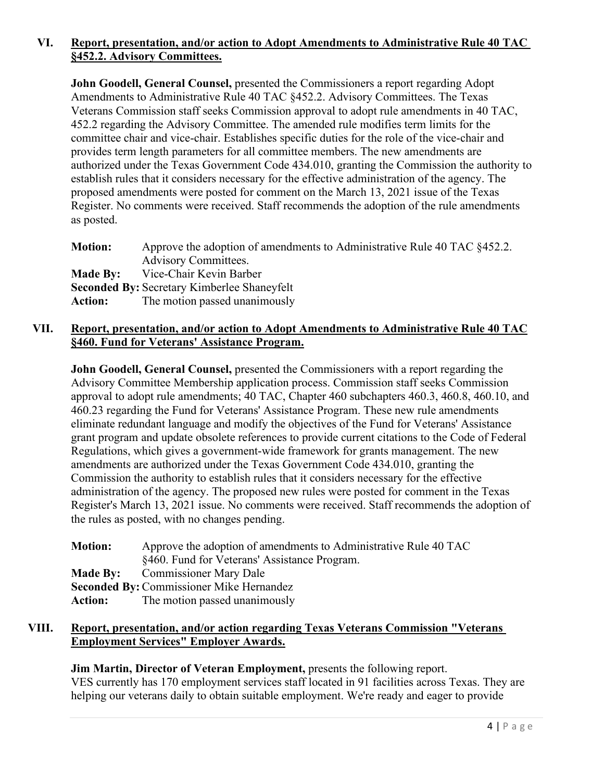# **VI. Report, presentation, and/or action to Adopt Amendments to Administrative Rule 40 TAC §452.2. Advisory Committees.**

**John Goodell, General Counsel,** presented the Commissioners a report regarding Adopt Amendments to Administrative Rule 40 TAC §452.2. Advisory Committees. The Texas Veterans Commission staff seeks Commission approval to adopt rule amendments in 40 TAC, 452.2 regarding the Advisory Committee. The amended rule modifies term limits for the committee chair and vice-chair. Establishes specific duties for the role of the vice-chair and provides term length parameters for all committee members. The new amendments are authorized under the Texas Government Code 434.010, granting the Commission the authority to establish rules that it considers necessary for the effective administration of the agency. The proposed amendments were posted for comment on the March 13, 2021 issue of the Texas Register. No comments were received. Staff recommends the adoption of the rule amendments as posted.

| <b>Motion:</b> | Approve the adoption of amendments to Administrative Rule 40 TAC §452.2. |
|----------------|--------------------------------------------------------------------------|
|                | <b>Advisory Committees.</b>                                              |
|                | <b>Made By:</b> Vice-Chair Kevin Barber                                  |
|                | <b>Seconded By: Secretary Kimberlee Shaneyfelt</b>                       |
| <b>Action:</b> | The motion passed unanimously                                            |

# **VII. Report, presentation, and/or action to Adopt Amendments to Administrative Rule 40 TAC §460. Fund for Veterans' Assistance Program.**

**John Goodell, General Counsel,** presented the Commissioners with a report regarding the Advisory Committee Membership application process. Commission staff seeks Commission approval to adopt rule amendments; 40 TAC, Chapter 460 subchapters 460.3, 460.8, 460.10, and 460.23 regarding the Fund for Veterans' Assistance Program. These new rule amendments eliminate redundant language and modify the objectives of the Fund for Veterans' Assistance grant program and update obsolete references to provide current citations to the Code of Federal Regulations, which gives a government-wide framework for grants management. The new amendments are authorized under the Texas Government Code 434.010, granting the Commission the authority to establish rules that it considers necessary for the effective administration of the agency. The proposed new rules were posted for comment in the Texas Register's March 13, 2021 issue. No comments were received. Staff recommends the adoption of the rules as posted, with no changes pending.

| <b>Motion:</b> | Approve the adoption of amendments to Administrative Rule 40 TAC |
|----------------|------------------------------------------------------------------|
|                | §460. Fund for Veterans' Assistance Program.                     |
|                | <b>Made By:</b> Commissioner Mary Dale                           |
|                | <b>Seconded By: Commissioner Mike Hernandez</b>                  |
| <b>Action:</b> | The motion passed unanimously                                    |
|                |                                                                  |

### **VIII. Report, presentation, and/or action regarding Texas Veterans Commission "Veterans Employment Services" Employer Awards.**

### **Jim Martin, Director of Veteran Employment,** presents the following report.

VES currently has 170 employment services staff located in 91 facilities across Texas. They are helping our veterans daily to obtain suitable employment. We're ready and eager to provide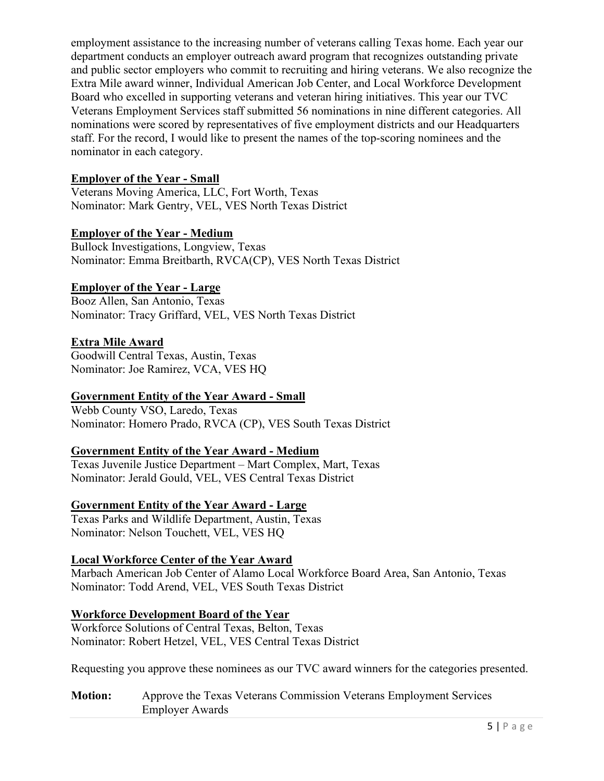employment assistance to the increasing number of veterans calling Texas home. Each year our department conducts an employer outreach award program that recognizes outstanding private and public sector employers who commit to recruiting and hiring veterans. We also recognize the Extra Mile award winner, Individual American Job Center, and Local Workforce Development Board who excelled in supporting veterans and veteran hiring initiatives. This year our TVC Veterans Employment Services staff submitted 56 nominations in nine different categories. All nominations were scored by representatives of five employment districts and our Headquarters staff. For the record, I would like to present the names of the top-scoring nominees and the nominator in each category.

# **Employer of the Year - Small**

Veterans Moving America, LLC, Fort Worth, Texas Nominator: Mark Gentry, VEL, VES North Texas District

# **Employer of the Year - Medium**

Bullock Investigations, Longview, Texas Nominator: Emma Breitbarth, RVCA(CP), VES North Texas District

# **Employer of the Year - Large**

Booz Allen, San Antonio, Texas Nominator: Tracy Griffard, VEL, VES North Texas District

# **Extra Mile Award**

Goodwill Central Texas, Austin, Texas Nominator: Joe Ramirez, VCA, VES HQ

# **Government Entity of the Year Award - Small**

Webb County VSO, Laredo, Texas Nominator: Homero Prado, RVCA (CP), VES South Texas District

# **Government Entity of the Year Award - Medium**

Texas Juvenile Justice Department – Mart Complex, Mart, Texas Nominator: Jerald Gould, VEL, VES Central Texas District

# **Government Entity of the Year Award - Large**

Texas Parks and Wildlife Department, Austin, Texas Nominator: Nelson Touchett, VEL, VES HQ

# **Local Workforce Center of the Year Award**

Marbach American Job Center of Alamo Local Workforce Board Area, San Antonio, Texas Nominator: Todd Arend, VEL, VES South Texas District

# **Workforce Development Board of the Year**

Workforce Solutions of Central Texas, Belton, Texas Nominator: Robert Hetzel, VEL, VES Central Texas District

Requesting you approve these nominees as our TVC award winners for the categories presented.

### **Motion:** Approve the Texas Veterans Commission Veterans Employment Services Employer Awards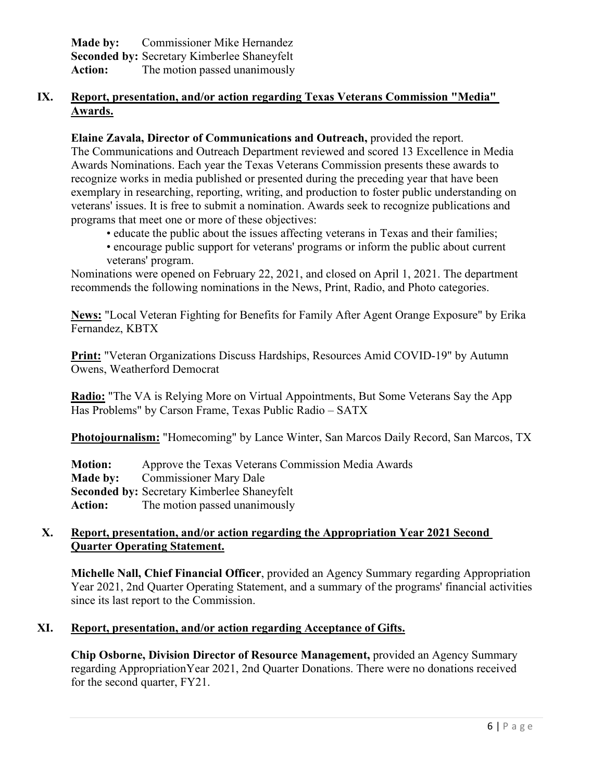| Made by:       | Commissioner Mike Hernandez                        |
|----------------|----------------------------------------------------|
|                | <b>Seconded by: Secretary Kimberlee Shaneyfelt</b> |
| <b>Action:</b> | The motion passed unanimously                      |

# **IX. Report, presentation, and/or action regarding Texas Veterans Commission "Media" Awards.**

# **Elaine Zavala, Director of Communications and Outreach,** provided the report.

The Communications and Outreach Department reviewed and scored 13 Excellence in Media Awards Nominations. Each year the Texas Veterans Commission presents these awards to recognize works in media published or presented during the preceding year that have been exemplary in researching, reporting, writing, and production to foster public understanding on veterans' issues. It is free to submit a nomination. Awards seek to recognize publications and programs that meet one or more of these objectives:

- educate the public about the issues affecting veterans in Texas and their families;
- encourage public support for veterans' programs or inform the public about current veterans' program.

Nominations were opened on February 22, 2021, and closed on April 1, 2021. The department recommends the following nominations in the News, Print, Radio, and Photo categories.

**News:** "Local Veteran Fighting for Benefits for Family After Agent Orange Exposure" by Erika Fernandez, KBTX

**Print:** "Veteran Organizations Discuss Hardships, Resources Amid COVID-19" by Autumn Owens, Weatherford Democrat

**Radio:** "The VA is Relying More on Virtual Appointments, But Some Veterans Say the App Has Problems" by Carson Frame, Texas Public Radio – SATX

**Photojournalism:** "Homecoming" by Lance Winter, San Marcos Daily Record, San Marcos, TX

| <b>Motion:</b> | Approve the Texas Veterans Commission Media Awards |
|----------------|----------------------------------------------------|
|                | <b>Made by:</b> Commissioner Mary Dale             |
|                | <b>Seconded by: Secretary Kimberlee Shaneyfelt</b> |
| <b>Action:</b> | The motion passed unanimously                      |

# **X. Report, presentation, and/or action regarding the Appropriation Year 2021 Second Quarter Operating Statement.**

**Michelle Nall, Chief Financial Officer**, provided an Agency Summary regarding Appropriation Year 2021, 2nd Quarter Operating Statement, and a summary of the programs' financial activities since its last report to the Commission.

# **XI. Report, presentation, and/or action regarding Acceptance of Gifts.**

**Chip Osborne, Division Director of Resource Management,** provided an Agency Summary regarding AppropriationYear 2021, 2nd Quarter Donations. There were no donations received for the second quarter, FY21.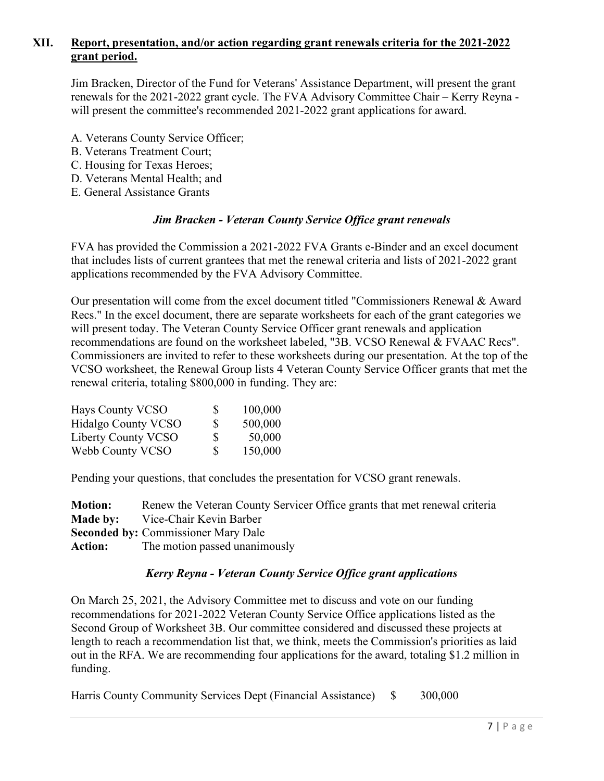# **XII. Report, presentation, and/or action regarding grant renewals criteria for the 2021-2022 grant period.**

Jim Bracken, Director of the Fund for Veterans' Assistance Department, will present the grant renewals for the 2021-2022 grant cycle. The FVA Advisory Committee Chair – Kerry Reyna will present the committee's recommended 2021-2022 grant applications for award.

- A. Veterans County Service Officer;
- B. Veterans Treatment Court;
- C. Housing for Texas Heroes;
- D. Veterans Mental Health; and
- E. General Assistance Grants

#### *Jim Bracken - Veteran County Service Office grant renewals*

FVA has provided the Commission a 2021-2022 FVA Grants e-Binder and an excel document that includes lists of current grantees that met the renewal criteria and lists of 2021-2022 grant applications recommended by the FVA Advisory Committee.

Our presentation will come from the excel document titled "Commissioners Renewal & Award Recs." In the excel document, there are separate worksheets for each of the grant categories we will present today. The Veteran County Service Officer grant renewals and application recommendations are found on the worksheet labeled, "3B. VCSO Renewal & FVAAC Recs". Commissioners are invited to refer to these worksheets during our presentation. At the top of the VCSO worksheet, the Renewal Group lists 4 Veteran County Service Officer grants that met the renewal criteria, totaling \$800,000 in funding. They are:

| Hays County VCSO           | S. | 100,000 |
|----------------------------|----|---------|
| <b>Hidalgo County VCSO</b> | S  | 500,000 |
| Liberty County VCSO        | S  | 50,000  |
| Webb County VCSO           | S  | 150,000 |

Pending your questions, that concludes the presentation for VCSO grant renewals.

| <b>Motion:</b> | Renew the Veteran County Servicer Office grants that met renewal criteria |
|----------------|---------------------------------------------------------------------------|
|                | <b>Made by:</b> Vice-Chair Kevin Barber                                   |
|                | <b>Seconded by: Commissioner Mary Dale</b>                                |
|                | <b>Action:</b> The motion passed unanimously                              |

#### *Kerry Reyna - Veteran County Service Office grant applications*

On March 25, 2021, the Advisory Committee met to discuss and vote on our funding recommendations for 2021-2022 Veteran County Service Office applications listed as the Second Group of Worksheet 3B. Our committee considered and discussed these projects at length to reach a recommendation list that, we think, meets the Commission's priorities as laid out in the RFA. We are recommending four applications for the award, totaling \$1.2 million in funding.

Harris County Community Services Dept (Financial Assistance) \$ 300,000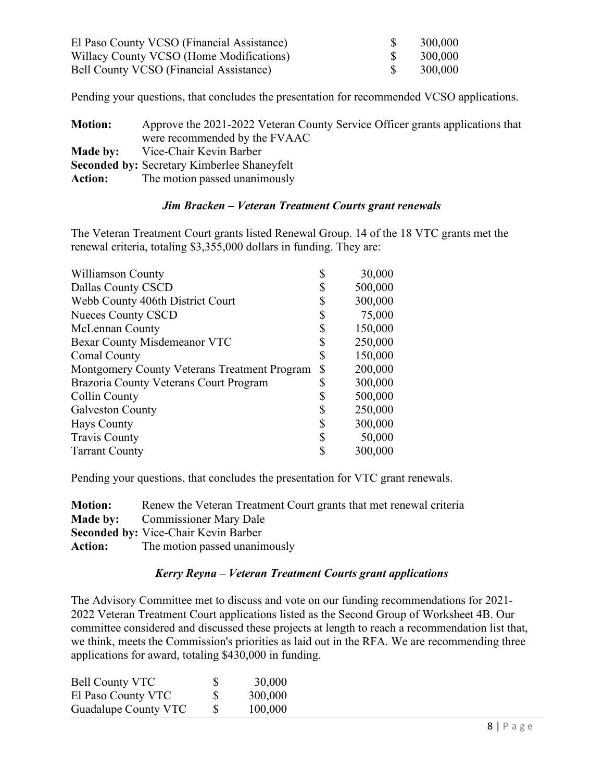| El Paso County VCSO (Financial Assistance) | 300,000 |
|--------------------------------------------|---------|
| Willacy County VCSO (Home Modifications)   | 300,000 |
| Bell County VCSO (Financial Assistance)    | 300,000 |

Pending your questions, that concludes the presentation for recommended VCSO applications.

| <b>Motion:</b> | Approve the 2021-2022 Veteran County Service Officer grants applications that |
|----------------|-------------------------------------------------------------------------------|
|                | were recommended by the FVAAC                                                 |
|                | <b>Made by:</b> Vice-Chair Kevin Barber                                       |
|                | <b>Seconded by: Secretary Kimberlee Shaneyfelt</b>                            |
| <b>Action:</b> | The motion passed unanimously                                                 |

### *Jim Bracken – Veteran Treatment Courts grant renewals*

The Veteran Treatment Court grants listed Renewal Group. 14 of the 18 VTC grants met the renewal criteria, totaling \$3,355,000 dollars in funding. They are:

| Dallas County CSCD<br>D<br>Webb County 406th District Court<br>S<br><b>Nueces County CSCD</b><br>S<br>\$<br>McLennan County<br>Bexar County Misdemeanor VTC<br>S<br><b>Comal County</b><br>\$<br>\$<br>Montgomery County Veterans Treatment Program<br>Brazoria County Veterans Court Program<br>S<br>Collin County<br>S<br>S<br><b>Galveston County</b><br><b>Hays County</b><br>S<br><b>Travis County</b><br>S<br>\$<br><b>Tarrant County</b> | Williamson County | 30,000  |
|-------------------------------------------------------------------------------------------------------------------------------------------------------------------------------------------------------------------------------------------------------------------------------------------------------------------------------------------------------------------------------------------------------------------------------------------------|-------------------|---------|
|                                                                                                                                                                                                                                                                                                                                                                                                                                                 |                   | 500,000 |
|                                                                                                                                                                                                                                                                                                                                                                                                                                                 |                   | 300,000 |
|                                                                                                                                                                                                                                                                                                                                                                                                                                                 |                   | 75,000  |
|                                                                                                                                                                                                                                                                                                                                                                                                                                                 |                   | 150,000 |
|                                                                                                                                                                                                                                                                                                                                                                                                                                                 |                   | 250,000 |
|                                                                                                                                                                                                                                                                                                                                                                                                                                                 |                   | 150,000 |
|                                                                                                                                                                                                                                                                                                                                                                                                                                                 |                   | 200,000 |
|                                                                                                                                                                                                                                                                                                                                                                                                                                                 |                   | 300,000 |
|                                                                                                                                                                                                                                                                                                                                                                                                                                                 |                   | 500,000 |
|                                                                                                                                                                                                                                                                                                                                                                                                                                                 |                   | 250,000 |
|                                                                                                                                                                                                                                                                                                                                                                                                                                                 |                   | 300,000 |
|                                                                                                                                                                                                                                                                                                                                                                                                                                                 |                   | 50,000  |
|                                                                                                                                                                                                                                                                                                                                                                                                                                                 |                   | 300,000 |

Pending your questions, that concludes the presentation for VTC grant renewals.

| <b>Motion:</b> | Renew the Veteran Treatment Court grants that met renewal criteria |
|----------------|--------------------------------------------------------------------|
|                | <b>Made by:</b> Commissioner Mary Dale                             |
|                | <b>Seconded by: Vice-Chair Kevin Barber</b>                        |
|                | <b>Action:</b> The motion passed unanimously                       |

# *Kerry Reyna – Veteran Treatment Courts grant applications*

The Advisory Committee met to discuss and vote on our funding recommendations for 2021- 2022 Veteran Treatment Court applications listed as the Second Group of Worksheet 4B. Our committee considered and discussed these projects at length to reach a recommendation list that, we think, meets the Commission's priorities as laid out in the RFA. We are recommending three applications for award, totaling \$430,000 in funding.

| <b>Bell County VTC</b> | <b>S</b>      | 30,000  |
|------------------------|---------------|---------|
| El Paso County VTC     | S             | 300,000 |
| Guadalupe County VTC   | <sup>\$</sup> | 100,000 |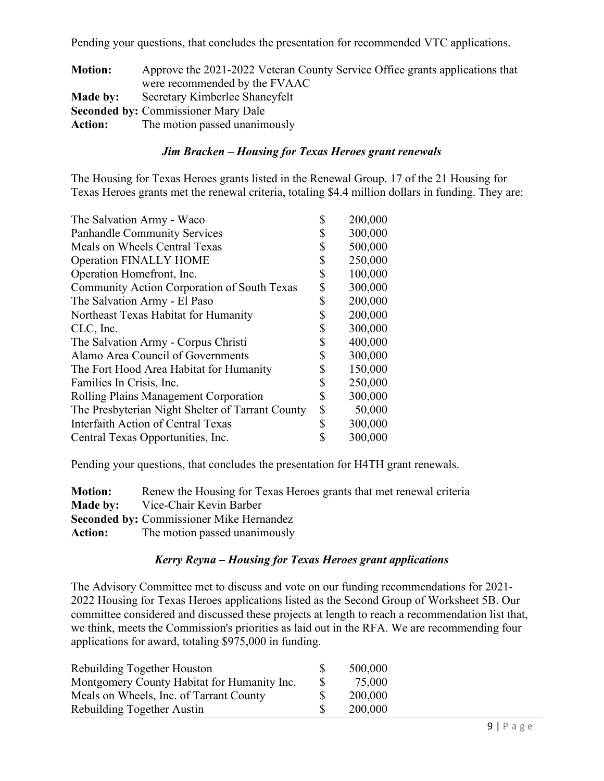Pending your questions, that concludes the presentation for recommended VTC applications.

| <b>Motion:</b> | Approve the 2021-2022 Veteran County Service Office grants applications that |
|----------------|------------------------------------------------------------------------------|
|                | were recommended by the FVAAC                                                |
| Made by:       | Secretary Kimberlee Shaneyfelt                                               |
|                | <b>Seconded by: Commissioner Mary Dale</b>                                   |
| <b>Action:</b> | The motion passed unanimously                                                |

### *Jim Bracken – Housing for Texas Heroes grant renewals*

The Housing for Texas Heroes grants listed in the Renewal Group. 17 of the 21 Housing for Texas Heroes grants met the renewal criteria, totaling \$4.4 million dollars in funding. They are:

| The Salvation Army - Waco                          | 200,000       |
|----------------------------------------------------|---------------|
| <b>Panhandle Community Services</b>                | 300,000       |
| Meals on Wheels Central Texas                      | \$<br>500,000 |
| <b>Operation FINALLY HOME</b>                      | \$<br>250,000 |
| Operation Homefront, Inc.                          | \$<br>100,000 |
| <b>Community Action Corporation of South Texas</b> | 300,000       |
| The Salvation Army - El Paso                       | \$<br>200,000 |
| Northeast Texas Habitat for Humanity               | \$<br>200,000 |
| CLC, Inc.                                          | \$<br>300,000 |
| The Salvation Army - Corpus Christi                | 400,000       |
| Alamo Area Council of Governments                  | \$<br>300,000 |
| The Fort Hood Area Habitat for Humanity            | \$<br>150,000 |
| Families In Crisis, Inc.                           | \$<br>250,000 |
| Rolling Plains Management Corporation              | \$<br>300,000 |
| The Presbyterian Night Shelter of Tarrant County   | \$<br>50,000  |
| Interfaith Action of Central Texas                 | \$<br>300,000 |
| Central Texas Opportunities, Inc.                  | 300,000       |
|                                                    |               |

Pending your questions, that concludes the presentation for H4TH grant renewals.

| <b>Motion:</b> | Renew the Housing for Texas Heroes grants that met renewal criteria |
|----------------|---------------------------------------------------------------------|
|                | <b>Made by:</b> Vice-Chair Kevin Barber                             |
|                | <b>Seconded by: Commissioner Mike Hernandez</b>                     |
|                | <b>Action:</b> The motion passed unanimously                        |

### *Kerry Reyna – Housing for Texas Heroes grant applications*

The Advisory Committee met to discuss and vote on our funding recommendations for 2021- 2022 Housing for Texas Heroes applications listed as the Second Group of Worksheet 5B. Our committee considered and discussed these projects at length to reach a recommendation list that, we think, meets the Commission's priorities as laid out in the RFA. We are recommending four applications for award, totaling \$975,000 in funding.

| Rebuilding Together Houston                 |    | 500,000 |
|---------------------------------------------|----|---------|
| Montgomery County Habitat for Humanity Inc. | -S | 75,000  |
| Meals on Wheels, Inc. of Tarrant County     |    | 200,000 |
| Rebuilding Together Austin                  |    | 200,000 |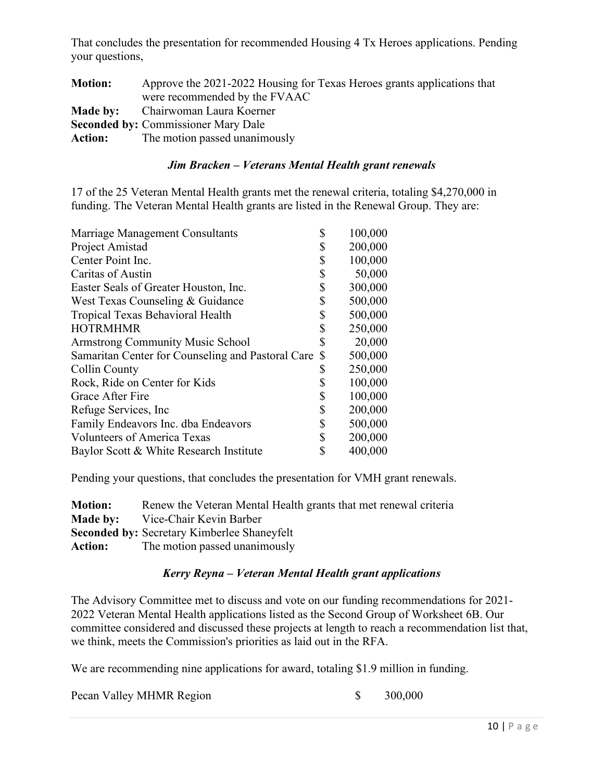That concludes the presentation for recommended Housing 4 Tx Heroes applications. Pending your questions,

| Approve the 2021-2022 Housing for Texas Heroes grants applications that |
|-------------------------------------------------------------------------|
| were recommended by the FVAAC                                           |
| <b>Made by:</b> Chairwoman Laura Koerner                                |
| <b>Seconded by: Commissioner Mary Dale</b>                              |
| <b>Action:</b> The motion passed unanimously                            |
|                                                                         |

### *Jim Bracken – Veterans Mental Health grant renewals*

17 of the 25 Veteran Mental Health grants met the renewal criteria, totaling \$4,270,000 in funding. The Veteran Mental Health grants are listed in the Renewal Group. They are:

| 200,000<br>\$<br>\$<br>100,000<br>\$<br>50,000<br>\$<br>300,000<br>\$<br>500,000<br>West Texas Counseling & Guidance<br>500,000<br>Tropical Texas Behavioral Health<br>\$<br>\$<br>250,000<br>\$<br>20,000<br><b>Armstrong Community Music School</b><br>500,000<br>Samaritan Center for Counseling and Pastoral Care<br>\$<br>250,000<br>\$<br>Collin County<br>\$<br>100,000<br>Rock, Ride on Center for Kids<br>\$<br>100,000<br>Grace After Fire<br>\$<br>200,000<br>\$<br>500,000<br>\$<br>200,000<br>\$<br>400,000 | Marriage Management Consultants         | \$<br>100,000 |
|--------------------------------------------------------------------------------------------------------------------------------------------------------------------------------------------------------------------------------------------------------------------------------------------------------------------------------------------------------------------------------------------------------------------------------------------------------------------------------------------------------------------------|-----------------------------------------|---------------|
|                                                                                                                                                                                                                                                                                                                                                                                                                                                                                                                          | Project Amistad                         |               |
|                                                                                                                                                                                                                                                                                                                                                                                                                                                                                                                          | Center Point Inc.                       |               |
|                                                                                                                                                                                                                                                                                                                                                                                                                                                                                                                          | Caritas of Austin                       |               |
|                                                                                                                                                                                                                                                                                                                                                                                                                                                                                                                          | Easter Seals of Greater Houston, Inc.   |               |
|                                                                                                                                                                                                                                                                                                                                                                                                                                                                                                                          |                                         |               |
|                                                                                                                                                                                                                                                                                                                                                                                                                                                                                                                          |                                         |               |
|                                                                                                                                                                                                                                                                                                                                                                                                                                                                                                                          | <b>HOTRMHMR</b>                         |               |
|                                                                                                                                                                                                                                                                                                                                                                                                                                                                                                                          |                                         |               |
|                                                                                                                                                                                                                                                                                                                                                                                                                                                                                                                          |                                         |               |
|                                                                                                                                                                                                                                                                                                                                                                                                                                                                                                                          |                                         |               |
|                                                                                                                                                                                                                                                                                                                                                                                                                                                                                                                          |                                         |               |
|                                                                                                                                                                                                                                                                                                                                                                                                                                                                                                                          |                                         |               |
|                                                                                                                                                                                                                                                                                                                                                                                                                                                                                                                          | Refuge Services, Inc.                   |               |
|                                                                                                                                                                                                                                                                                                                                                                                                                                                                                                                          | Family Endeavors Inc. dba Endeavors     |               |
|                                                                                                                                                                                                                                                                                                                                                                                                                                                                                                                          | <b>Volunteers of America Texas</b>      |               |
|                                                                                                                                                                                                                                                                                                                                                                                                                                                                                                                          | Baylor Scott & White Research Institute |               |

Pending your questions, that concludes the presentation for VMH grant renewals.

| <b>Motion:</b> | Renew the Veteran Mental Health grants that met renewal criteria |
|----------------|------------------------------------------------------------------|
|                | <b>Made by:</b> Vice-Chair Kevin Barber                          |
|                | <b>Seconded by: Secretary Kimberlee Shaneyfelt</b>               |
|                | <b>Action:</b> The motion passed unanimously                     |

### *Kerry Reyna – Veteran Mental Health grant applications*

The Advisory Committee met to discuss and vote on our funding recommendations for 2021- 2022 Veteran Mental Health applications listed as the Second Group of Worksheet 6B. Our committee considered and discussed these projects at length to reach a recommendation list that, we think, meets the Commission's priorities as laid out in the RFA.

We are recommending nine applications for award, totaling \$1.9 million in funding.

| Pecan Valley MHMR Region |  | 300,000 |
|--------------------------|--|---------|
|--------------------------|--|---------|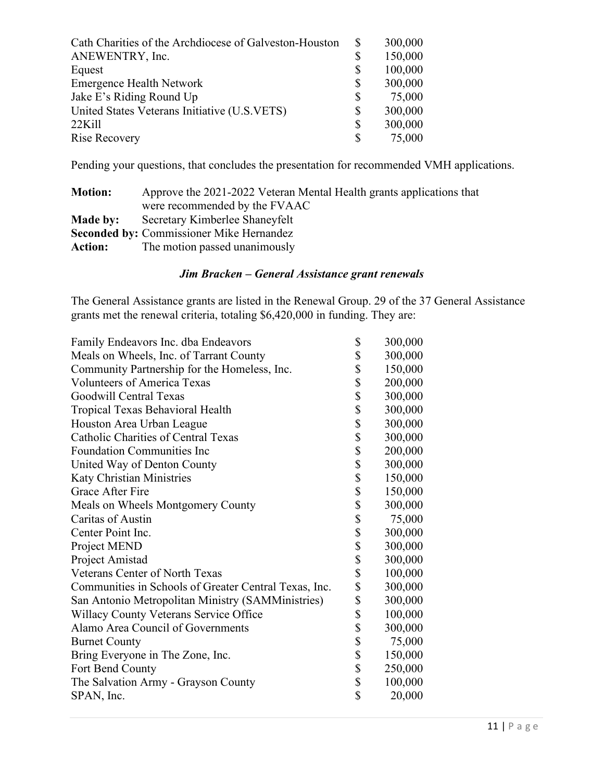| Cath Charities of the Archdiocese of Galveston-Houston | 300,000       |
|--------------------------------------------------------|---------------|
| ANEWENTRY, Inc.                                        | \$<br>150,000 |
| Equest                                                 | \$<br>100,000 |
| <b>Emergence Health Network</b>                        | \$<br>300,000 |
| Jake E's Riding Round Up                               | \$<br>75,000  |
| United States Veterans Initiative (U.S.VETS)           | \$<br>300,000 |
| $22$ Kill                                              | \$<br>300,000 |
| Rise Recovery                                          | \$<br>75,000  |
|                                                        |               |

Pending your questions, that concludes the presentation for recommended VMH applications.

| <b>Motion:</b> | Approve the 2021-2022 Veteran Mental Health grants applications that |
|----------------|----------------------------------------------------------------------|
|                | were recommended by the FVAAC                                        |
| Made by:       | Secretary Kimberlee Shaneyfelt                                       |
|                | <b>Seconded by: Commissioner Mike Hernandez</b>                      |
| <b>Action:</b> | The motion passed unanimously                                        |

# *Jim Bracken – General Assistance grant renewals*

The General Assistance grants are listed in the Renewal Group. 29 of the 37 General Assistance grants met the renewal criteria, totaling \$6,420,000 in funding. They are:

| Family Endeavors Inc. dba Endeavors                   | \$<br>300,000 |
|-------------------------------------------------------|---------------|
| Meals on Wheels, Inc. of Tarrant County               | \$<br>300,000 |
| Community Partnership for the Homeless, Inc.          | \$<br>150,000 |
| <b>Volunteers of America Texas</b>                    | \$<br>200,000 |
| Goodwill Central Texas                                | \$<br>300,000 |
| Tropical Texas Behavioral Health                      | \$<br>300,000 |
| Houston Area Urban League                             | \$<br>300,000 |
| <b>Catholic Charities of Central Texas</b>            | \$<br>300,000 |
| <b>Foundation Communities Inc</b>                     | \$<br>200,000 |
| United Way of Denton County                           | \$<br>300,000 |
| <b>Katy Christian Ministries</b>                      | \$<br>150,000 |
| Grace After Fire                                      | \$<br>150,000 |
| Meals on Wheels Montgomery County                     | \$<br>300,000 |
| Caritas of Austin                                     | \$<br>75,000  |
| Center Point Inc.                                     | \$<br>300,000 |
| Project MEND                                          | \$<br>300,000 |
| Project Amistad                                       | \$<br>300,000 |
| Veterans Center of North Texas                        | \$<br>100,000 |
| Communities in Schools of Greater Central Texas, Inc. | \$<br>300,000 |
| San Antonio Metropolitan Ministry (SAMMinistries)     | \$<br>300,000 |
| Willacy County Veterans Service Office                | \$<br>100,000 |
| Alamo Area Council of Governments                     | \$<br>300,000 |
| <b>Burnet County</b>                                  | \$<br>75,000  |
| Bring Everyone in The Zone, Inc.                      | \$<br>150,000 |
| Fort Bend County                                      | \$<br>250,000 |
| The Salvation Army - Grayson County                   | \$<br>100,000 |
| SPAN, Inc.                                            | \$<br>20,000  |
|                                                       |               |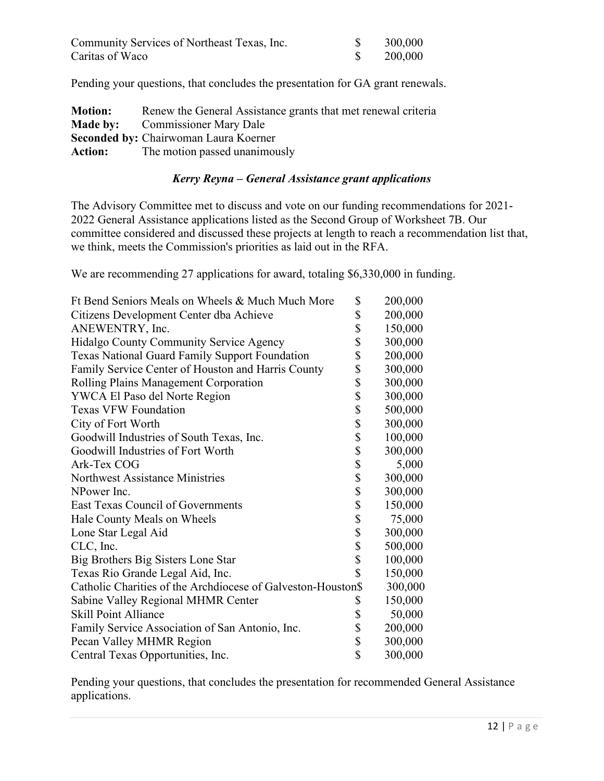| Community Services of Northeast Texas, Inc. | 300,000 |
|---------------------------------------------|---------|
| Caritas of Waco                             | 200,000 |

Pending your questions, that concludes the presentation for GA grant renewals.

| <b>Motion:</b> | Renew the General Assistance grants that met renewal criteria |
|----------------|---------------------------------------------------------------|
|                | <b>Made by:</b> Commissioner Mary Dale                        |
|                | <b>Seconded by: Chairwoman Laura Koerner</b>                  |
|                | <b>Action:</b> The motion passed unanimously                  |

### *Kerry Reyna – General Assistance grant applications*

The Advisory Committee met to discuss and vote on our funding recommendations for 2021- 2022 General Assistance applications listed as the Second Group of Worksheet 7B. Our committee considered and discussed these projects at length to reach a recommendation list that, we think, meets the Commission's priorities as laid out in the RFA.

We are recommending 27 applications for award, totaling \$6,330,000 in funding.

| Ft Bend Seniors Meals on Wheels & Much Much More             | \$<br>200,000 |
|--------------------------------------------------------------|---------------|
| Citizens Development Center dba Achieve                      | \$<br>200,000 |
| ANEWENTRY, Inc.                                              | \$<br>150,000 |
| Hidalgo County Community Service Agency                      | \$<br>300,000 |
| <b>Texas National Guard Family Support Foundation</b>        | \$<br>200,000 |
| Family Service Center of Houston and Harris County           | \$<br>300,000 |
| Rolling Plains Management Corporation                        | \$<br>300,000 |
| YWCA El Paso del Norte Region                                | \$<br>300,000 |
| <b>Texas VFW Foundation</b>                                  | \$<br>500,000 |
| City of Fort Worth                                           | \$<br>300,000 |
| Goodwill Industries of South Texas, Inc.                     | \$<br>100,000 |
| Goodwill Industries of Fort Worth                            | \$<br>300,000 |
| Ark-Tex COG                                                  | \$<br>5,000   |
| Northwest Assistance Ministries                              | \$<br>300,000 |
| NPower Inc.                                                  | \$<br>300,000 |
| <b>East Texas Council of Governments</b>                     | \$<br>150,000 |
| Hale County Meals on Wheels                                  | \$<br>75,000  |
| Lone Star Legal Aid                                          | \$<br>300,000 |
| CLC, Inc.                                                    | \$<br>500,000 |
| Big Brothers Big Sisters Lone Star                           | \$<br>100,000 |
| Texas Rio Grande Legal Aid, Inc.                             | \$<br>150,000 |
| Catholic Charities of the Archdiocese of Galveston-Houston\$ | 300,000       |
| Sabine Valley Regional MHMR Center                           | \$<br>150,000 |
| <b>Skill Point Alliance</b>                                  | \$<br>50,000  |
| Family Service Association of San Antonio, Inc.              | \$<br>200,000 |
| Pecan Valley MHMR Region                                     | \$<br>300,000 |
| Central Texas Opportunities, Inc.                            | \$<br>300,000 |

Pending your questions, that concludes the presentation for recommended General Assistance applications.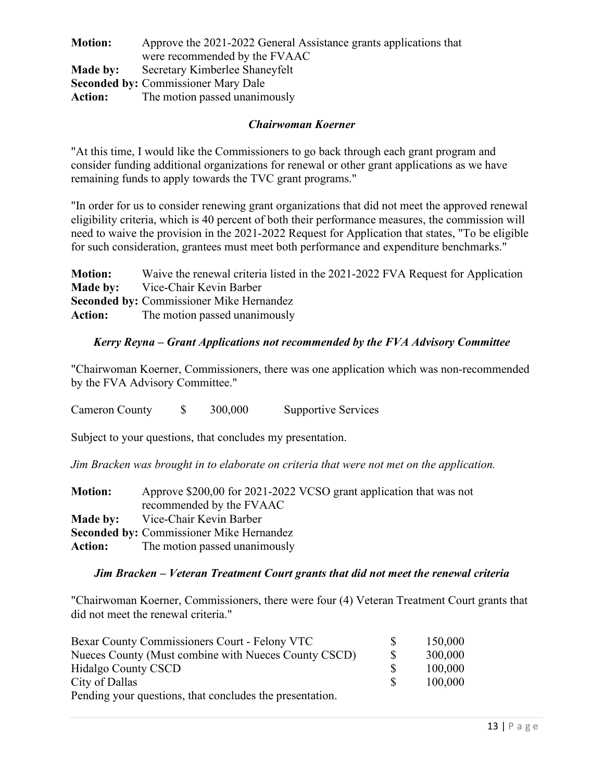| <b>Motion:</b> | Approve the 2021-2022 General Assistance grants applications that |  |  |  |
|----------------|-------------------------------------------------------------------|--|--|--|
|                | were recommended by the FVAAC                                     |  |  |  |
| Made by:       | Secretary Kimberlee Shaneyfelt                                    |  |  |  |
|                | <b>Seconded by: Commissioner Mary Dale</b>                        |  |  |  |
| <b>Action:</b> | The motion passed unanimously                                     |  |  |  |

### *Chairwoman Koerner*

"At this time, I would like the Commissioners to go back through each grant program and consider funding additional organizations for renewal or other grant applications as we have remaining funds to apply towards the TVC grant programs."

"In order for us to consider renewing grant organizations that did not meet the approved renewal eligibility criteria, which is 40 percent of both their performance measures, the commission will need to waive the provision in the 2021-2022 Request for Application that states, "To be eligible for such consideration, grantees must meet both performance and expenditure benchmarks."

**Motion:** Waive the renewal criteria listed in the 2021-2022 FVA Request for Application **Made by:** Vice-Chair Kevin Barber **Seconded by:** Commissioner Mike Hernandez **Action:** The motion passed unanimously

### *Kerry Reyna – Grant Applications not recommended by the FVA Advisory Committee*

"Chairwoman Koerner, Commissioners, there was one application which was non-recommended by the FVA Advisory Committee."

Cameron County \$ 300,000 Supportive Services

Subject to your questions, that concludes my presentation.

*Jim Bracken was brought in to elaborate on criteria that were not met on the application.*

| <b>Motion:</b> | Approve \$200,00 for 2021-2022 VCSO grant application that was not |
|----------------|--------------------------------------------------------------------|
|                | recommended by the FVAAC                                           |
|                | <b>Made by:</b> Vice-Chair Kevin Barber                            |
|                | <b>Seconded by: Commissioner Mike Hernandez</b>                    |
| <b>Action:</b> | The motion passed unanimously                                      |

### *Jim Bracken – Veteran Treatment Court grants that did not meet the renewal criteria*

"Chairwoman Koerner, Commissioners, there were four (4) Veteran Treatment Court grants that did not meet the renewal criteria."

| Bexar County Commissioners Court - Felony VTC            |  | 150,000 |
|----------------------------------------------------------|--|---------|
| Nueces County (Must combine with Nueces County CSCD)     |  | 300,000 |
| <b>Hidalgo County CSCD</b>                               |  | 100,000 |
| City of Dallas                                           |  | 100,000 |
| Pending your questions, that concludes the presentation. |  |         |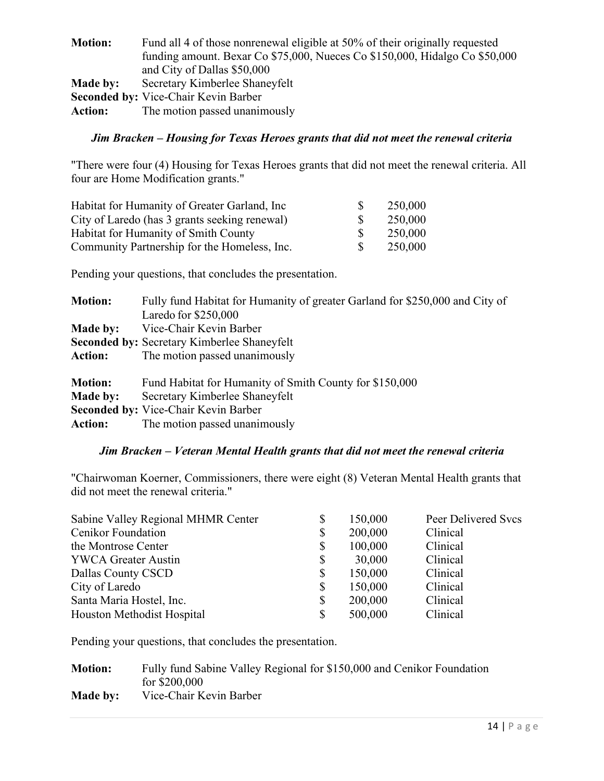| <b>Motion:</b> | Fund all 4 of those nonrenewal eligible at 50% of their originally requested<br>funding amount. Bexar Co \$75,000, Nueces Co \$150,000, Hidalgo Co \$50,000<br>and City of Dallas \$50,000 |
|----------------|--------------------------------------------------------------------------------------------------------------------------------------------------------------------------------------------|
| Made by:       | Secretary Kimberlee Shaneyfelt                                                                                                                                                             |
|                | <b>Seconded by: Vice-Chair Kevin Barber</b>                                                                                                                                                |
| <b>Action:</b> | The motion passed unanimously                                                                                                                                                              |

# *Jim Bracken – Housing for Texas Heroes grants that did not meet the renewal criteria*

"There were four (4) Housing for Texas Heroes grants that did not meet the renewal criteria. All four are Home Modification grants."

| Habitat for Humanity of Greater Garland, Inc. | 250,000 |
|-----------------------------------------------|---------|
| City of Laredo (has 3 grants seeking renewal) | 250,000 |
| Habitat for Humanity of Smith County          | 250,000 |
| Community Partnership for the Homeless, Inc.  | 250,000 |

Pending your questions, that concludes the presentation.

| <b>Motion:</b>  | Fully fund Habitat for Humanity of greater Garland for \$250,000 and City of |
|-----------------|------------------------------------------------------------------------------|
|                 | Laredo for \$250,000                                                         |
| <b>Made by:</b> | Vice-Chair Kevin Barber                                                      |
|                 | <b>Seconded by: Secretary Kimberlee Shaneyfelt</b>                           |
| <b>Action:</b>  | The motion passed unanimously                                                |
|                 |                                                                              |
| <b>Motion:</b>  | Fund Habitat for Humanity of Smith County for \$150,000                      |
| <b>Made by:</b> | Secretary Kimberlee Shaneyfelt                                               |
|                 | <b>Seconded by: Vice-Chair Kevin Barber</b>                                  |
| <b>Action:</b>  | The motion passed unanimously                                                |

### *Jim Bracken – Veteran Mental Health grants that did not meet the renewal criteria*

"Chairwoman Koerner, Commissioners, there were eight (8) Veteran Mental Health grants that did not meet the renewal criteria."

| Sabine Valley Regional MHMR Center | \$ | 150,000 | Peer Delivered Svcs |
|------------------------------------|----|---------|---------------------|
| Cenikor Foundation                 | \$ | 200,000 | Clinical            |
| the Montrose Center                | \$ | 100,000 | Clinical            |
| <b>YWCA Greater Austin</b>         | S  | 30,000  | Clinical            |
| Dallas County CSCD                 | \$ | 150,000 | Clinical            |
| City of Laredo                     | S  | 150,000 | Clinical            |
| Santa Maria Hostel, Inc.           | \$ | 200,000 | Clinical            |
| Houston Methodist Hospital         | \$ | 500,000 | Clinical            |

Pending your questions, that concludes the presentation.

| <b>Motion:</b> | Fully fund Sabine Valley Regional for \$150,000 and Cenikor Foundation |
|----------------|------------------------------------------------------------------------|
|                | for $$200,000$                                                         |
| Made by:       | Vice-Chair Kevin Barber                                                |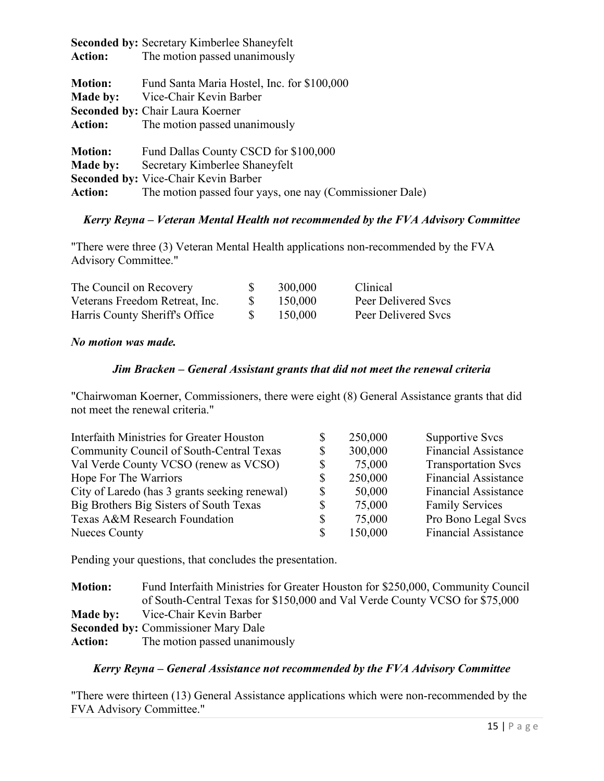|                | <b>Seconded by: Secretary Kimberlee Shaneyfelt</b>       |
|----------------|----------------------------------------------------------|
| <b>Action:</b> | The motion passed unanimously                            |
| <b>Motion:</b> | Fund Santa Maria Hostel, Inc. for \$100,000              |
| Made by:       | Vice-Chair Kevin Barber                                  |
|                | <b>Seconded by: Chair Laura Koerner</b>                  |
| <b>Action:</b> | The motion passed unanimously                            |
| <b>Motion:</b> | Fund Dallas County CSCD for \$100,000                    |
| Made by:       | Secretary Kimberlee Shaneyfelt                           |
|                | <b>Seconded by: Vice-Chair Kevin Barber</b>              |
| <b>Action:</b> | The motion passed four yays, one nay (Commissioner Dale) |

# *Kerry Reyna – Veteran Mental Health not recommended by the FVA Advisory Committee*

"There were three (3) Veteran Mental Health applications non-recommended by the FVA Advisory Committee."

| The Council on Recovery        | 300,000 | Clinical            |
|--------------------------------|---------|---------------------|
| Veterans Freedom Retreat, Inc. | 150,000 | Peer Delivered Svcs |
| Harris County Sheriff's Office | 150,000 | Peer Delivered Svcs |

### *No motion was made.*

### *Jim Bracken – General Assistant grants that did not meet the renewal criteria*

"Chairwoman Koerner, Commissioners, there were eight (8) General Assistance grants that did not meet the renewal criteria."

| Interfaith Ministries for Greater Houston     | 250,000      | Supportive Svcs             |
|-----------------------------------------------|--------------|-----------------------------|
| Community Council of South-Central Texas      | 300,000      | <b>Financial Assistance</b> |
| Val Verde County VCSO (renew as VCSO)         | 75,000       | <b>Transportation Svcs</b>  |
| Hope For The Warriors                         | 250,000      | <b>Financial Assistance</b> |
| City of Laredo (has 3 grants seeking renewal) | 50,000       | <b>Financial Assistance</b> |
| Big Brothers Big Sisters of South Texas       | \$<br>75,000 | <b>Family Services</b>      |
| Texas A&M Research Foundation                 | 75,000       | Pro Bono Legal Svcs         |
| <b>Nueces County</b>                          | 150,000      | <b>Financial Assistance</b> |

Pending your questions, that concludes the presentation.

| <b>Motion:</b> | Fund Interfaith Ministries for Greater Houston for \$250,000, Community Council |
|----------------|---------------------------------------------------------------------------------|
|                | of South-Central Texas for \$150,000 and Val Verde County VCSO for \$75,000     |
| Made by:       | Vice-Chair Kevin Barber                                                         |
|                | <b>Seconded by: Commissioner Mary Dale</b>                                      |
| <b>Action:</b> | The motion passed unanimously                                                   |

### *Kerry Reyna – General Assistance not recommended by the FVA Advisory Committee*

"There were thirteen (13) General Assistance applications which were non-recommended by the FVA Advisory Committee."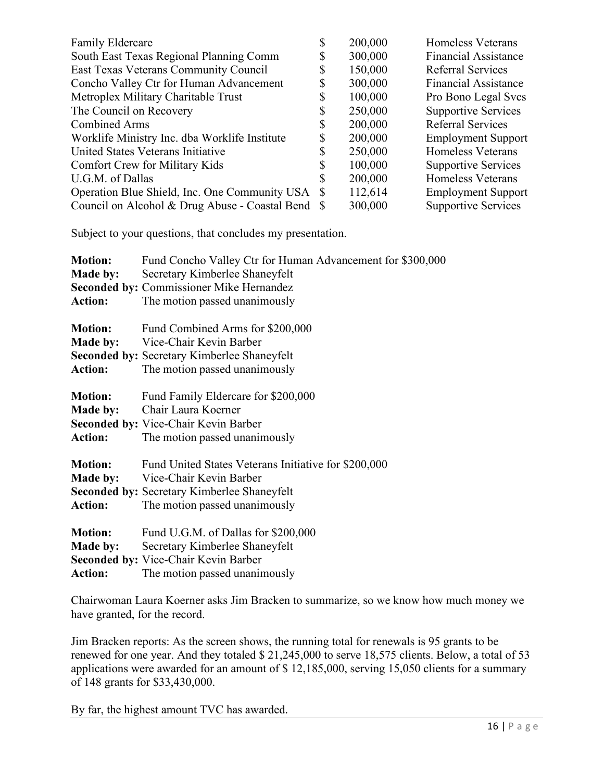| <b>Family Eldercare</b>                           | 200,000 | <b>Homeless Veterans</b>    |
|---------------------------------------------------|---------|-----------------------------|
| South East Texas Regional Planning Comm           | 300,000 | <b>Financial Assistance</b> |
| East Texas Veterans Community Council             | 150,000 | <b>Referral Services</b>    |
| Concho Valley Ctr for Human Advancement           | 300,000 | <b>Financial Assistance</b> |
| Metroplex Military Charitable Trust               | 100,000 | Pro Bono Legal Svcs         |
| The Council on Recovery                           | 250,000 | <b>Supportive Services</b>  |
| <b>Combined Arms</b>                              | 200,000 | <b>Referral Services</b>    |
| Worklife Ministry Inc. dba Worklife Institute     | 200,000 | <b>Employment Support</b>   |
| United States Veterans Initiative                 | 250,000 | <b>Homeless Veterans</b>    |
| <b>Comfort Crew for Military Kids</b>             | 100,000 | <b>Supportive Services</b>  |
| U.G.M. of Dallas                                  | 200,000 | <b>Homeless Veterans</b>    |
| Operation Blue Shield, Inc. One Community USA \$  | 112,614 | <b>Employment Support</b>   |
| Council on Alcohol & Drug Abuse - Coastal Bend \$ | 300,000 | <b>Supportive Services</b>  |
|                                                   |         |                             |

Subject to your questions, that concludes my presentation.

| Fund Concho Valley Ctr for Human Advancement for \$300,000 |
|------------------------------------------------------------|
| Secretary Kimberlee Shaneyfelt                             |
| <b>Seconded by: Commissioner Mike Hernandez</b>            |
| The motion passed unanimously                              |
| Fund Combined Arms for \$200,000                           |
| Vice-Chair Kevin Barber                                    |
| <b>Seconded by: Secretary Kimberlee Shaneyfelt</b>         |
| The motion passed unanimously                              |
| Fund Family Eldercare for \$200,000                        |
| Chair Laura Koerner                                        |
| <b>Seconded by: Vice-Chair Kevin Barber</b>                |
| The motion passed unanimously                              |
| Fund United States Veterans Initiative for \$200,000       |
| Vice-Chair Kevin Barber                                    |
| <b>Seconded by: Secretary Kimberlee Shaneyfelt</b>         |
| The motion passed unanimously                              |
| Fund U.G.M. of Dallas for \$200,000                        |
| Secretary Kimberlee Shaneyfelt                             |
| <b>Seconded by: Vice-Chair Kevin Barber</b>                |
| The motion passed unanimously                              |
|                                                            |

Chairwoman Laura Koerner asks Jim Bracken to summarize, so we know how much money we have granted, for the record.

Jim Bracken reports: As the screen shows, the running total for renewals is 95 grants to be renewed for one year. And they totaled \$ 21,245,000 to serve 18,575 clients. Below, a total of 53 applications were awarded for an amount of \$ 12,185,000, serving 15,050 clients for a summary of 148 grants for \$33,430,000.

By far, the highest amount TVC has awarded.